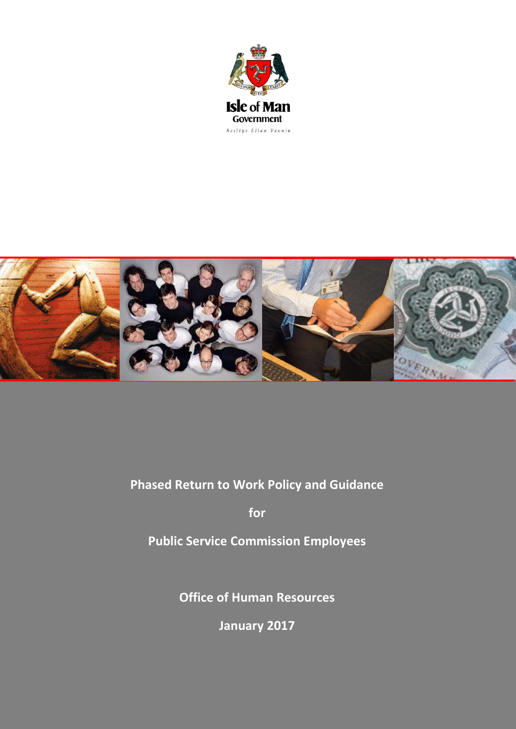



# **Phased Return to Work Policy and Guidance**

**for** 

**Public Service Commission Employees**

**Office of Human Resources**

**January 2017**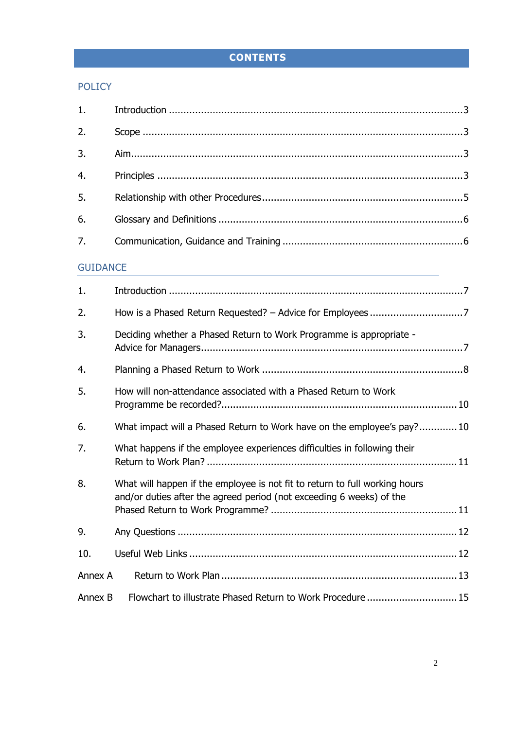# **CONTENTS**

# [POLICY](#page-2-0)

| 1.              |                                                                                                                                                     |  |  |  |  |
|-----------------|-----------------------------------------------------------------------------------------------------------------------------------------------------|--|--|--|--|
| 2.              |                                                                                                                                                     |  |  |  |  |
| 3.              |                                                                                                                                                     |  |  |  |  |
| 4.              |                                                                                                                                                     |  |  |  |  |
| 5.              |                                                                                                                                                     |  |  |  |  |
| 6.              |                                                                                                                                                     |  |  |  |  |
| 7.              |                                                                                                                                                     |  |  |  |  |
| <b>GUIDANCE</b> | and the control of the control of the control of the control of the control of the control of the control of the                                    |  |  |  |  |
| 1.              |                                                                                                                                                     |  |  |  |  |
| 2.              |                                                                                                                                                     |  |  |  |  |
| 3.              | Deciding whether a Phased Return to Work Programme is appropriate -                                                                                 |  |  |  |  |
| 4.              |                                                                                                                                                     |  |  |  |  |
| 5.              | How will non-attendance associated with a Phased Return to Work                                                                                     |  |  |  |  |
| 6.              | What impact will a Phased Return to Work have on the employee's pay?10                                                                              |  |  |  |  |
| 7.              | What happens if the employee experiences difficulties in following their                                                                            |  |  |  |  |
| 8.              | What will happen if the employee is not fit to return to full working hours<br>and/or duties after the agreed period (not exceeding 6 weeks) of the |  |  |  |  |
| 9.              |                                                                                                                                                     |  |  |  |  |
| 10.             |                                                                                                                                                     |  |  |  |  |
| Annex A         |                                                                                                                                                     |  |  |  |  |
| Annex B         | Flowchart to illustrate Phased Return to Work Procedure 15                                                                                          |  |  |  |  |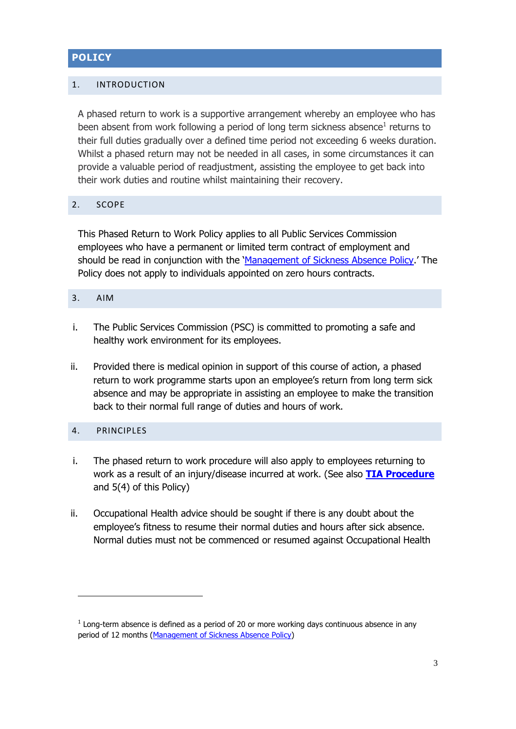# <span id="page-2-0"></span>**POLICY**

# <span id="page-2-1"></span>1. INTRODUCTION

A phased return to work is a supportive arrangement whereby an employee who has been absent from work following a period of long term sickness absence $^1$  returns to their full duties gradually over a defined time period not exceeding 6 weeks duration. Whilst a phased return may not be needed in all cases, in some circumstances it can provide a valuable period of readjustment, assisting the employee to get back into their work duties and routine whilst maintaining their recovery.

#### <span id="page-2-2"></span>2. SCOPE

This Phased Return to Work Policy applies to all Public Services Commission employees who have a permanent or limited term contract of employment and should be read in conjunction with the '[Management of Sickness Absence Policy](https://www.gov.im/lib/docs/hr/Sickness_Absence/managementofsicknessabsenceendor.pdf).' The Policy does not apply to individuals appointed on zero hours contracts.

#### <span id="page-2-3"></span>3. AIM

- i. The Public Services Commission (PSC) is committed to promoting a safe and healthy work environment for its employees.
- ii. Provided there is medical opinion in support of this course of action, a phased return to work programme starts upon an employee's return from long term sick absence and may be appropriate in assisting an employee to make the transition back to their normal full range of duties and hours of work.

# <span id="page-2-4"></span>4. PRINCIPLES

**.** 

- i. The phased return to work procedure will also apply to employees returning to work as a result of an injury/disease incurred at work. (See also **[TIA Procedure](https://www.gov.im/lib/docs/hr/iompsc/tiaprocessandprocedurefinalvers.pdf)** and 5(4) of this Policy)
- ii. Occupational Health advice should be sought if there is any doubt about the employee's fitness to resume their normal duties and hours after sick absence. Normal duties must not be commenced or resumed against Occupational Health

 $<sup>1</sup>$  Long-term absence is defined as a period of 20 or more working days continuous absence in any</sup> period of 12 months [\(Management of Sickness Absence Policy\)](https://www.gov.im/lib/docs/hr/Sickness_Absence/managementofsicknessabsenceendor.pdf)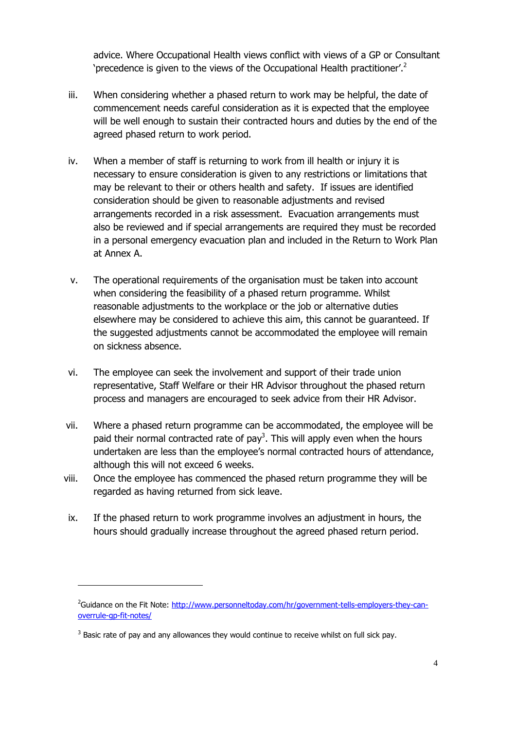advice. Where Occupational Health views conflict with views of a GP or Consultant 'precedence is given to the views of the Occupational Health practitioner'.<sup>2</sup>

- iii. When considering whether a phased return to work may be helpful, the date of commencement needs careful consideration as it is expected that the employee will be well enough to sustain their contracted hours and duties by the end of the agreed phased return to work period.
- iv. When a member of staff is returning to work from ill health or injury it is necessary to ensure consideration is given to any restrictions or limitations that may be relevant to their or others health and safety. If issues are identified consideration should be given to reasonable adjustments and revised arrangements recorded in a risk assessment. Evacuation arrangements must also be reviewed and if special arrangements are required they must be recorded in a personal emergency evacuation plan and included in the Return to Work Plan at Annex A.
- v. The operational requirements of the organisation must be taken into account when considering the feasibility of a phased return programme. Whilst reasonable adjustments to the workplace or the job or alternative duties elsewhere may be considered to achieve this aim, this cannot be guaranteed. If the suggested adjustments cannot be accommodated the employee will remain on sickness absence.
- vi. The employee can seek the involvement and support of their trade union representative, Staff Welfare or their HR Advisor throughout the phased return process and managers are encouraged to seek advice from their HR Advisor.
- vii. Where a phased return programme can be accommodated, the employee will be paid their normal contracted rate of pay<sup>3</sup>. This will apply even when the hours undertaken are less than the employee's normal contracted hours of attendance, although this will not exceed 6 weeks.
- viii. Once the employee has commenced the phased return programme they will be regarded as having returned from sick leave.
- ix. If the phased return to work programme involves an adjustment in hours, the hours should gradually increase throughout the agreed phased return period.

1

<sup>&</sup>lt;sup>2</sup>Guidance on the Fit Note: [http://www.personneltoday.com/hr/government-tells-employers-they-can](http://www.personneltoday.com/hr/government-tells-employers-they-can-overrule-gp-fit-notes/)[overrule-gp-fit-notes/](http://www.personneltoday.com/hr/government-tells-employers-they-can-overrule-gp-fit-notes/)

 $3$  Basic rate of pay and any allowances they would continue to receive whilst on full sick pay.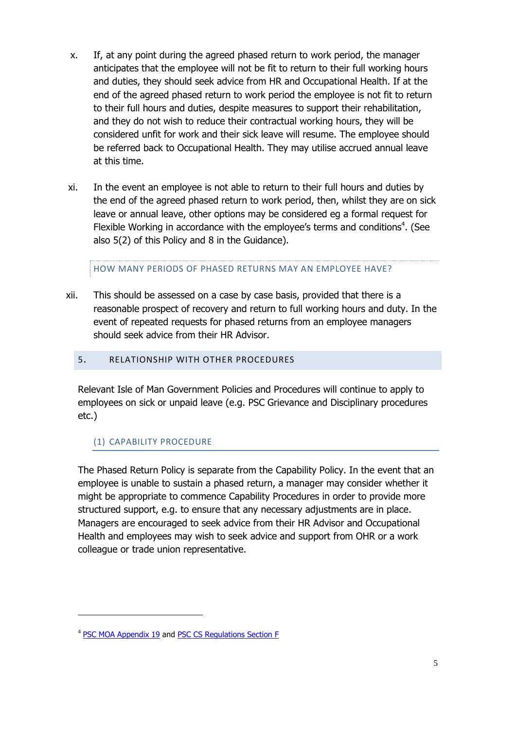- x. If, at any point during the agreed phased return to work period, the manager anticipates that the employee will not be fit to return to their full working hours and duties, they should seek advice from HR and Occupational Health. If at the end of the agreed phased return to work period the employee is not fit to return to their full hours and duties, despite measures to support their rehabilitation, and they do not wish to reduce their contractual working hours, they will be considered unfit for work and their sick leave will resume. The employee should be referred back to Occupational Health. They may utilise accrued annual leave at this time.
- xi. In the event an employee is not able to return to their full hours and duties by the end of the agreed phased return to work period, then, whilst they are on sick leave or annual leave, other options may be considered eg a formal request for Flexible Working in accordance with the employee's terms and conditions<sup>4</sup>. (See also 5(2) of this Policy and 8 in the Guidance).

HOW MANY PERIODS OF PHASED RETURNS MAY AN EMPLOYEE HAVE?

- xii. This should be assessed on a case by case basis, provided that there is a reasonable prospect of recovery and return to full working hours and duty. In the event of repeated requests for phased returns from an employee managers should seek advice from their HR Advisor.
	- 5. RELATIONSHIP WITH OTHER PROCEDURES

<span id="page-4-0"></span>Relevant Isle of Man Government Policies and Procedures will continue to apply to employees on sick or unpaid leave (e.g. PSC Grievance and Disciplinary procedures etc.)

# (1) CAPABILITY PROCEDURE

The Phased Return Policy is separate from the Capability Policy. In the event that an employee is unable to sustain a phased return, a manager may consider whether it might be appropriate to commence Capability Procedures in order to provide more structured support, e.g. to ensure that any necessary adjustments are in place. Managers are encouraged to seek advice from their HR Advisor and Occupational Health and employees may wish to seek advice and support from OHR or a work colleague or trade union representative.

**.** 

<sup>&</sup>lt;sup>4</sup> [PSC MOA Appendix 19](https://www.gov.im/lib/docs/hr/manualandcraft/ax19complete.pdf) and [PSC CS Regulations Section F](https://www.gov.im/hr/iompsc/cs_regs/section_F/flexibleworking.xml)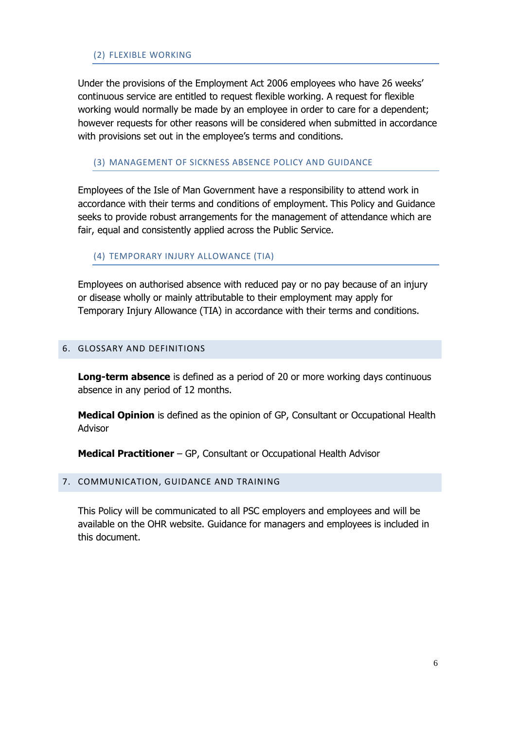#### (2) FLEXIBLE WORKING

Under the provisions of the Employment Act 2006 employees who have 26 weeks' continuous service are entitled to request flexible working. A request for flexible working would normally be made by an employee in order to care for a dependent; however requests for other reasons will be considered when submitted in accordance with provisions set out in the employee's terms and conditions.

#### (3) MANAGEMENT OF SICKNESS ABSENCE POLICY AND GUIDANCE

Employees of the Isle of Man Government have a responsibility to attend work in accordance with their terms and conditions of employment. This Policy and Guidance seeks to provide robust arrangements for the management of attendance which are fair, equal and consistently applied across the Public Service.

(4) TEMPORARY INJURY ALLOWANCE (TIA)

Employees on authorised absence with reduced pay or no pay because of an injury or disease wholly or mainly attributable to their employment may apply for Temporary Injury Allowance (TIA) in accordance with their terms and conditions.

#### <span id="page-5-0"></span>6. GLOSSARY AND DEFINITIONS

**Long-term absence** is defined as a period of 20 or more working days continuous absence in any period of 12 months.

**Medical Opinion** is defined as the opinion of GP, Consultant or Occupational Health Advisor

**Medical Practitioner** – GP, Consultant or Occupational Health Advisor

#### <span id="page-5-1"></span>7. COMMUNICATION, GUIDANCE AND TRAINING

This Policy will be communicated to all PSC employers and employees and will be available on the OHR website. Guidance for managers and employees is included in this document.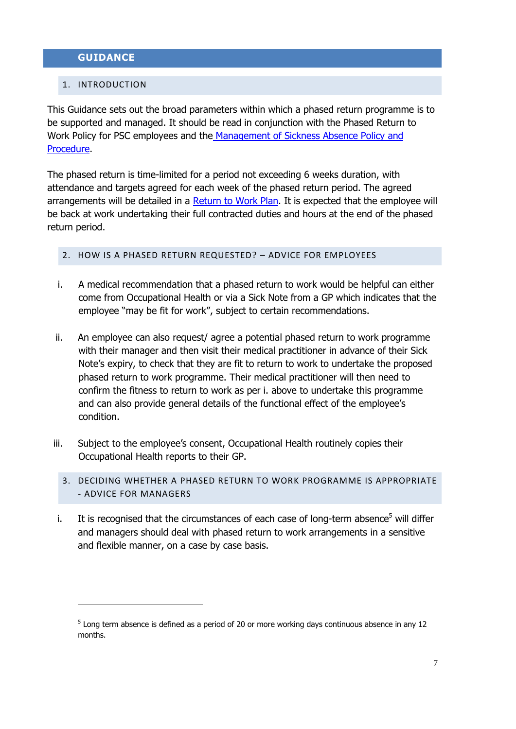# <span id="page-6-1"></span><span id="page-6-0"></span>**GUIDANCE**

### 1. INTRODUCTION

1

This Guidance sets out the broad parameters within which a phased return programme is to be supported and managed. It should be read in conjunction with the Phased Return to Work Policy for PSC employees and the Management of Sickness Absence Policy and [Procedure.](https://www.gov.im/lib/docs/hr/Sickness_Absence/managementofsicknessabsenceendor.pdf)

The phased return is time-limited for a period not exceeding 6 weeks duration, with attendance and targets agreed for each week of the phased return period. The agreed arrangements will be detailed in a [Return to Work Plan.](#page-12-0) It is expected that the employee will be back at work undertaking their full contracted duties and hours at the end of the phased return period.

#### <span id="page-6-2"></span>2. HOW IS A PHASED RETURN REQUESTED? – ADVICE FOR EMPLOYEES

- i. A medical recommendation that a phased return to work would be helpful can either come from Occupational Health or via a Sick Note from a GP which indicates that the employee "may be fit for work", subject to certain recommendations.
- ii. An employee can also request/ agree a potential phased return to work programme with their manager and then visit their medical practitioner in advance of their Sick Note's expiry, to check that they are fit to return to work to undertake the proposed phased return to work programme. Their medical practitioner will then need to confirm the fitness to return to work as per i. above to undertake this programme and can also provide general details of the functional effect of the employee's condition.
- <span id="page-6-3"></span>iii. Subject to the employee's consent, Occupational Health routinely copies their Occupational Health reports to their GP.
	- 3. DECIDING WHETHER A PHASED RETURN TO WORK PROGRAMME IS APPROPRIATE - ADVICE FOR MANAGERS
- i. It is recognised that the circumstances of each case of long-term absence<sup>5</sup> will differ and managers should deal with phased return to work arrangements in a sensitive and flexible manner, on a case by case basis.

 $<sup>5</sup>$  Long term absence is defined as a period of 20 or more working days continuous absence in any 12</sup> months.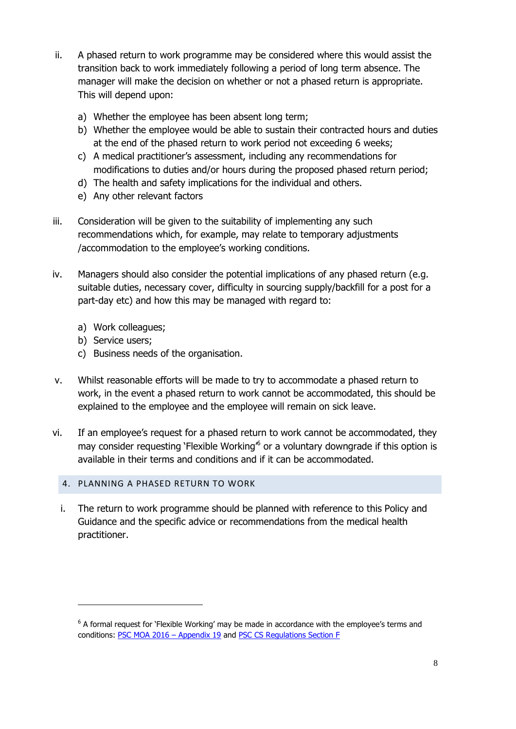- ii. A phased return to work programme may be considered where this would assist the transition back to work immediately following a period of long term absence. The manager will make the decision on whether or not a phased return is appropriate. This will depend upon:
	- a) Whether the employee has been absent long term;
	- b) Whether the employee would be able to sustain their contracted hours and duties at the end of the phased return to work period not exceeding 6 weeks;
	- c) A medical practitioner's assessment, including any recommendations for modifications to duties and/or hours during the proposed phased return period;
	- d) The health and safety implications for the individual and others.
	- e) Any other relevant factors
- iii. Consideration will be given to the suitability of implementing any such recommendations which, for example, may relate to temporary adjustments /accommodation to the employee's working conditions.
- iv. Managers should also consider the potential implications of any phased return (e.g. suitable duties, necessary cover, difficulty in sourcing supply/backfill for a post for a part-day etc) and how this may be managed with regard to:
	- a) Work colleagues;
	- b) Service users;

1

- c) Business needs of the organisation.
- v. Whilst reasonable efforts will be made to try to accommodate a phased return to work, in the event a phased return to work cannot be accommodated, this should be explained to the employee and the employee will remain on sick leave.
- vi. If an employee's request for a phased return to work cannot be accommodated, they may consider requesting 'Flexible Working<sup> $6$ </sup> or a voluntary downgrade if this option is available in their terms and conditions and if it can be accommodated.

# <span id="page-7-0"></span>4. PLANNING A PHASED RETURN TO WORK

i. The return to work programme should be planned with reference to this Policy and Guidance and the specific advice or recommendations from the medical health practitioner.

 $6$  A formal request for 'Flexible Working' may be made in accordance with the employee's terms and conditions: [PSC MOA 2016](https://www.gov.im/lib/docs/hr/manualandcraft/ax19complete.pdf) – Appendix 19 and [PSC CS Regulations Section F](https://www.gov.im/hr/iompsc/cs_regs/section_F/flexibleworking.xml)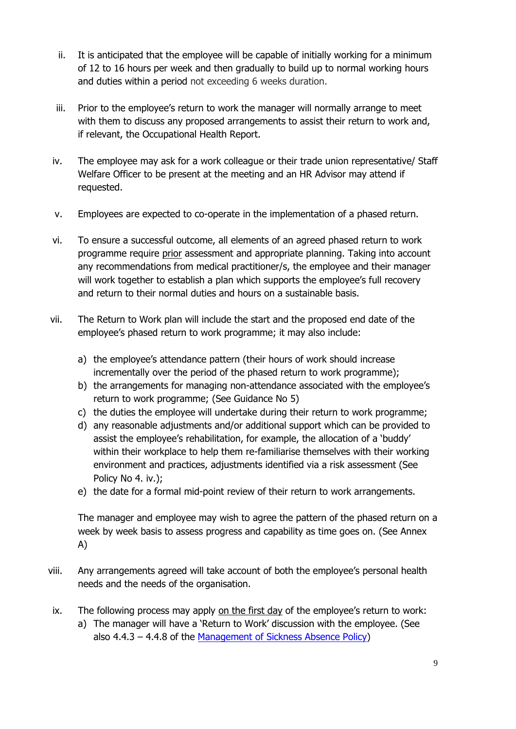- ii. It is anticipated that the employee will be capable of initially working for a minimum of 12 to 16 hours per week and then gradually to build up to normal working hours and duties within a period not exceeding 6 weeks duration.
- iii. Prior to the employee's return to work the manager will normally arrange to meet with them to discuss any proposed arrangements to assist their return to work and, if relevant, the Occupational Health Report.
- iv. The employee may ask for a work colleague or their trade union representative/ Staff Welfare Officer to be present at the meeting and an HR Advisor may attend if requested.
- v. Employees are expected to co-operate in the implementation of a phased return.
- vi. To ensure a successful outcome, all elements of an agreed phased return to work programme require prior assessment and appropriate planning. Taking into account any recommendations from medical practitioner/s, the employee and their manager will work together to establish a plan which supports the employee's full recovery and return to their normal duties and hours on a sustainable basis.
- vii. The Return to Work plan will include the start and the proposed end date of the employee's phased return to work programme; it may also include:
	- a) the employee's attendance pattern (their hours of work should increase incrementally over the period of the phased return to work programme);
	- b) the arrangements for managing non-attendance associated with the employee's return to work programme; (See Guidance No 5)
	- c) the duties the employee will undertake during their return to work programme;
	- d) any reasonable adjustments and/or additional support which can be provided to assist the employee's rehabilitation, for example, the allocation of a 'buddy' within their workplace to help them re-familiarise themselves with their working environment and practices, adjustments identified via a risk assessment (See Policy No 4. iv.);
	- e) the date for a formal mid-point review of their return to work arrangements.

The manager and employee may wish to agree the pattern of the phased return on a week by week basis to assess progress and capability as time goes on. (See Annex A)

- viii. Any arrangements agreed will take account of both the employee's personal health needs and the needs of the organisation.
- ix. The following process may apply on the first day of the employee's return to work: a) The manager will have a 'Return to Work' discussion with the employee. (See also 4.4.3 – 4.4.8 of the [Management of Sickness Absence Policy\)](https://www.gov.im/lib/docs/hr/Sickness_Absence/managementofsicknessabsenceendor.pdf)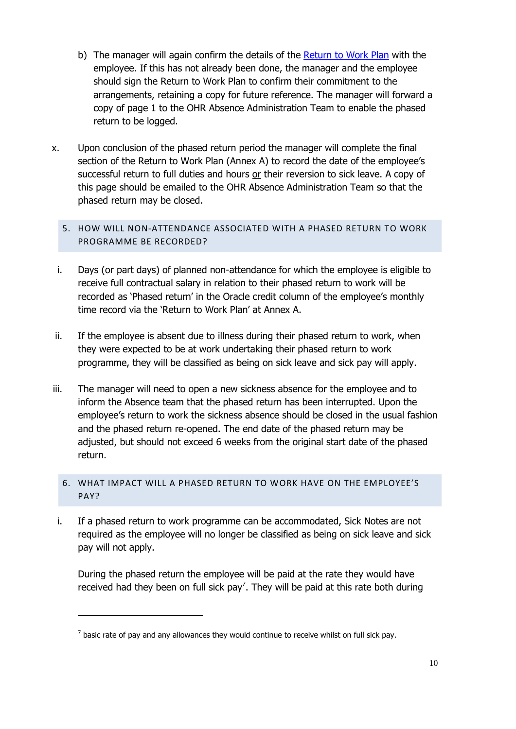- b) The manager will again confirm the details of the [Return to Work Plan](#page-12-0) with the employee. If this has not already been done, the manager and the employee should sign the Return to Work Plan to confirm their commitment to the arrangements, retaining a copy for future reference. The manager will forward a copy of page 1 to the OHR Absence Administration Team to enable the phased return to be logged.
- x. Upon conclusion of the phased return period the manager will complete the final section of the Return to Work Plan (Annex A) to record the date of the employee's successful return to full duties and hours or their reversion to sick leave. A copy of this page should be emailed to the OHR Absence Administration Team so that the phased return may be closed.

# <span id="page-9-0"></span>5. HOW WILL NON-ATTENDANCE ASSOCIATED WITH A PHASED RETURN TO WORK PROGRAMME BE RECORDED?

- i. Days (or part days) of planned non-attendance for which the employee is eligible to receive full contractual salary in relation to their phased return to work will be recorded as 'Phased return' in the Oracle credit column of the employee's monthly time record via the 'Return to Work Plan' at Annex A.
- ii. If the employee is absent due to illness during their phased return to work, when they were expected to be at work undertaking their phased return to work programme, they will be classified as being on sick leave and sick pay will apply.
- iii. The manager will need to open a new sickness absence for the employee and to inform the Absence team that the phased return has been interrupted. Upon the employee's return to work the sickness absence should be closed in the usual fashion and the phased return re-opened. The end date of the phased return may be adjusted, but should not exceed 6 weeks from the original start date of the phased return.

# <span id="page-9-1"></span>6. WHAT IMPACT WILL A PHASED RETURN TO WORK HAVE ON THE EMPLOYEE'S PAY?

i. If a phased return to work programme can be accommodated, Sick Notes are not required as the employee will no longer be classified as being on sick leave and sick pay will not apply.

During the phased return the employee will be paid at the rate they would have received had they been on full sick pay<sup>7</sup>. They will be paid at this rate both during

**.** 

 $<sup>7</sup>$  basic rate of pay and any allowances they would continue to receive whilst on full sick pay.</sup>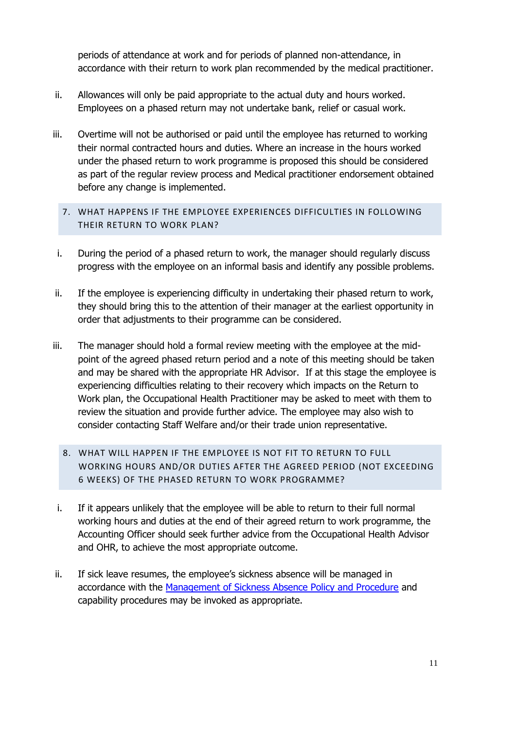periods of attendance at work and for periods of planned non-attendance, in accordance with their return to work plan recommended by the medical practitioner.

- ii. Allowances will only be paid appropriate to the actual duty and hours worked. Employees on a phased return may not undertake bank, relief or casual work.
- iii. Overtime will not be authorised or paid until the employee has returned to working their normal contracted hours and duties. Where an increase in the hours worked under the phased return to work programme is proposed this should be considered as part of the regular review process and Medical practitioner endorsement obtained before any change is implemented.
	- 7. WHAT HAPPENS IF THE EMPLOYEE EXPERIENCES DIFFICULTIES IN FOLLOWING THEIR RETURN TO WORK PLAN?
- <span id="page-10-0"></span>i. During the period of a phased return to work, the manager should regularly discuss progress with the employee on an informal basis and identify any possible problems.
- ii. If the employee is experiencing difficulty in undertaking their phased return to work, they should bring this to the attention of their manager at the earliest opportunity in order that adjustments to their programme can be considered.
- iii. The manager should hold a formal review meeting with the employee at the midpoint of the agreed phased return period and a note of this meeting should be taken and may be shared with the appropriate HR Advisor. If at this stage the employee is experiencing difficulties relating to their recovery which impacts on the Return to Work plan, the Occupational Health Practitioner may be asked to meet with them to review the situation and provide further advice. The employee may also wish to consider contacting Staff Welfare and/or their trade union representative.
	- 8. WHAT WILL HAPPEN IF THE EMPLOYEE IS NOT FIT TO RETURN TO FULL WORKING HOURS AND/OR DUTIES AFTER THE AGREED PERIOD (NOT EXCEEDING 6 WEEKS) OF THE PHASED RETURN TO WORK PROGRAMME?
- <span id="page-10-1"></span>i. If it appears unlikely that the employee will be able to return to their full normal working hours and duties at the end of their agreed return to work programme, the Accounting Officer should seek further advice from the Occupational Health Advisor and OHR, to achieve the most appropriate outcome.
- ii. If sick leave resumes, the employee's sickness absence will be managed in accordance with the [Management of Sickness Absence Policy and Procedure](https://www.gov.im/lib/docs/hr/Sickness_Absence/managementofsicknessabsenceendor.pdf) and capability procedures may be invoked as appropriate.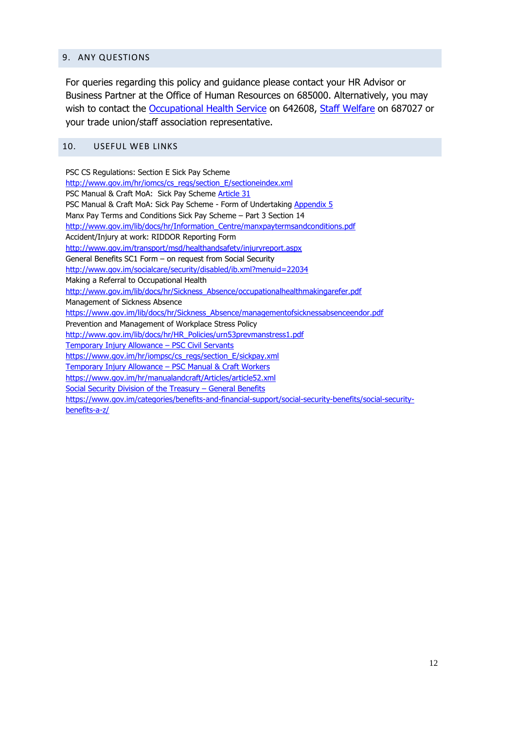#### <span id="page-11-0"></span>9. ANY QUESTIONS

For queries regarding this policy and guidance please contact your HR Advisor or Business Partner at the Office of Human Resources on 685000. Alternatively, you may wish to contact the [Occupational Health Service](https://www.gov.im/hr/MSA/Preventing/occupational_health.xml) on 642608, [Staff Welfare](https://www.gov.im/hr/healthsafetywelfare/healthandsafety.xml) on 687027 or your trade union/staff association representative.

#### <span id="page-11-1"></span>10. USEFUL WEB LINKS

PSC CS Regulations: Section E Sick Pay Scheme [http://www.gov.im/hr/iomcs/cs\\_regs/section\\_E/sectioneindex.xml](http://www.gov.im/hr/iomcs/cs_regs/section_E/sectioneindex.xml) PSC Manual & Craft MoA: Sick Pay Scheme [Article](http://www.gov.im/hr/Whitley/Articles/article31.xml) 31 PSC Manual & Craft MoA: Sick Pay Scheme - Form of Undertaking [Appendix 5](http://www.gov.im/lib/docs/hr/Whitley/ax05complete.pdf) Manx Pay Terms and Conditions Sick Pay Scheme – Part 3 Section 14 [http://www.gov.im/lib/docs/hr/Information\\_Centre/manxpaytermsandconditions.pdf](http://www.gov.im/lib/docs/hr/Information_Centre/manxpaytermsandconditions.pdf) Accident/Injury at work: RIDDOR Reporting Form <http://www.gov.im/transport/msd/healthandsafety/injuryreport.aspx> General Benefits SC1 Form – on request from Social Security <http://www.gov.im/socialcare/security/disabled/ib.xml?menuid=22034> Making a Referral to Occupational Health [http://www.gov.im/lib/docs/hr/Sickness\\_Absence/occupationalhealthmakingarefer.pdf](http://www.gov.im/lib/docs/hr/Sickness_Absence/occupationalhealthmakingarefer.pdf) Management of Sickness Absence [https://www.gov.im/lib/docs/hr/Sickness\\_Absence/managementofsicknessabsenceendor.pdf](https://www.gov.im/lib/docs/hr/Sickness_Absence/managementofsicknessabsenceendor.pdf) Prevention and Management of Workplace Stress Policy [http://www.gov.im/lib/docs/hr/HR\\_Policies/urn53prevmanstress1.pdf](http://www.gov.im/lib/docs/hr/HR_Policies/urn53prevmanstress1.pdf) Temporary Injury Allowance – PSC Civil Servants [https://www.gov.im/hr/iompsc/cs\\_regs/section\\_E/sickpay.xml](https://www.gov.im/hr/iompsc/cs_regs/section_E/sickpay.xml) Temporary Injury Allowance – PSC Manual & Craft Workers <https://www.gov.im/hr/manualandcraft/Articles/article52.xml> Social Security Division of the Treasury – General Benefits https://www.gov.im/categories/benefits-and-financial-support/social-security-benefits/social-securitybenefits-a-z/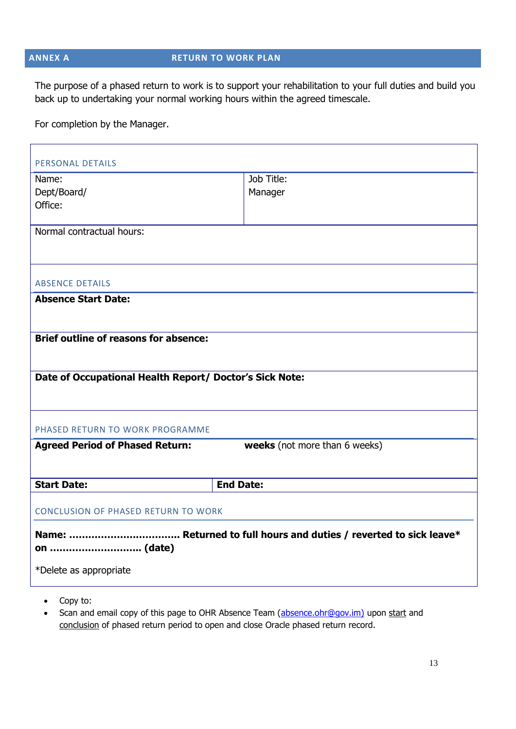# <span id="page-12-0"></span>**ANNEX A RETURN TO WORK PLAN**

The purpose of a phased return to work is to support your rehabilitation to your full duties and build you back up to undertaking your normal working hours within the agreed timescale.

For completion by the Manager.

| PERSONAL DETAILS                                        |                               |  |  |  |  |  |  |
|---------------------------------------------------------|-------------------------------|--|--|--|--|--|--|
| Name:                                                   | Job Title:                    |  |  |  |  |  |  |
| Dept/Board/                                             | Manager                       |  |  |  |  |  |  |
| Office:                                                 |                               |  |  |  |  |  |  |
|                                                         |                               |  |  |  |  |  |  |
| Normal contractual hours:                               |                               |  |  |  |  |  |  |
|                                                         |                               |  |  |  |  |  |  |
|                                                         |                               |  |  |  |  |  |  |
| <b>ABSENCE DETAILS</b>                                  |                               |  |  |  |  |  |  |
| <b>Absence Start Date:</b>                              |                               |  |  |  |  |  |  |
|                                                         |                               |  |  |  |  |  |  |
| <b>Brief outline of reasons for absence:</b>            |                               |  |  |  |  |  |  |
|                                                         |                               |  |  |  |  |  |  |
|                                                         |                               |  |  |  |  |  |  |
| Date of Occupational Health Report/ Doctor's Sick Note: |                               |  |  |  |  |  |  |
|                                                         |                               |  |  |  |  |  |  |
|                                                         |                               |  |  |  |  |  |  |
| PHASED RETURN TO WORK PROGRAMME                         |                               |  |  |  |  |  |  |
| <b>Agreed Period of Phased Return:</b>                  | weeks (not more than 6 weeks) |  |  |  |  |  |  |
|                                                         |                               |  |  |  |  |  |  |
| <b>Start Date:</b>                                      | <b>End Date:</b>              |  |  |  |  |  |  |
|                                                         |                               |  |  |  |  |  |  |
| <b>CONCLUSION OF PHASED RETURN TO WORK</b>              |                               |  |  |  |  |  |  |
|                                                         |                               |  |  |  |  |  |  |
|                                                         |                               |  |  |  |  |  |  |
| on  (date)                                              |                               |  |  |  |  |  |  |
| *Delete as appropriate                                  |                               |  |  |  |  |  |  |
|                                                         |                               |  |  |  |  |  |  |

- Copy to:
- Scan and email copy of this page to OHR Absence Team [\(absence.ohr@gov.im\)](mailto:absence.ohr@gov.im) upon start and conclusion of phased return period to open and close Oracle phased return record.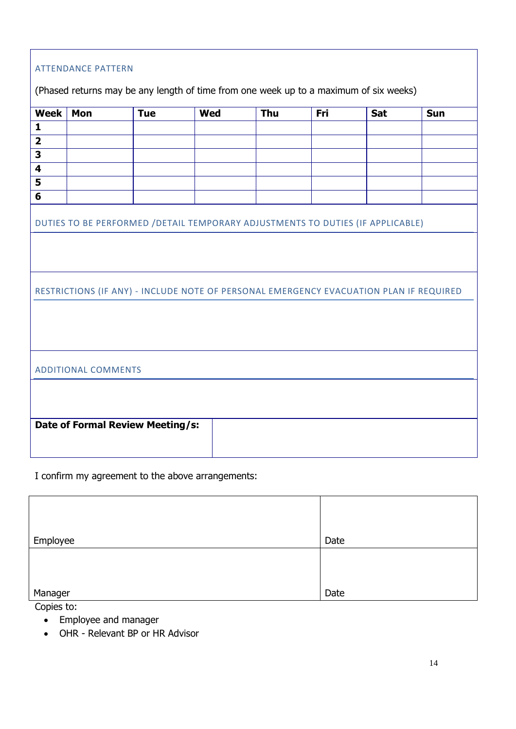| <b>ATTENDANCE PATTERN</b>                                                              |                                                                                 |            |            |     |     |            |     |  |
|----------------------------------------------------------------------------------------|---------------------------------------------------------------------------------|------------|------------|-----|-----|------------|-----|--|
| (Phased returns may be any length of time from one week up to a maximum of six weeks)  |                                                                                 |            |            |     |     |            |     |  |
| <b>Week</b>                                                                            | Mon                                                                             | <b>Tue</b> | <b>Wed</b> | Thu | Fri | <b>Sat</b> | Sun |  |
| $\mathbf{1}$                                                                           |                                                                                 |            |            |     |     |            |     |  |
| $\overline{\mathbf{2}}$                                                                |                                                                                 |            |            |     |     |            |     |  |
| 3                                                                                      |                                                                                 |            |            |     |     |            |     |  |
| $\overline{\mathbf{4}}$                                                                |                                                                                 |            |            |     |     |            |     |  |
| 5                                                                                      |                                                                                 |            |            |     |     |            |     |  |
| 6                                                                                      |                                                                                 |            |            |     |     |            |     |  |
|                                                                                        | DUTIES TO BE PERFORMED / DETAIL TEMPORARY ADJUSTMENTS TO DUTIES (IF APPLICABLE) |            |            |     |     |            |     |  |
|                                                                                        |                                                                                 |            |            |     |     |            |     |  |
|                                                                                        |                                                                                 |            |            |     |     |            |     |  |
| RESTRICTIONS (IF ANY) - INCLUDE NOTE OF PERSONAL EMERGENCY EVACUATION PLAN IF REQUIRED |                                                                                 |            |            |     |     |            |     |  |
|                                                                                        |                                                                                 |            |            |     |     |            |     |  |
|                                                                                        |                                                                                 |            |            |     |     |            |     |  |
|                                                                                        |                                                                                 |            |            |     |     |            |     |  |
| <b>ADDITIONAL COMMENTS</b>                                                             |                                                                                 |            |            |     |     |            |     |  |
|                                                                                        |                                                                                 |            |            |     |     |            |     |  |
|                                                                                        |                                                                                 |            |            |     |     |            |     |  |
|                                                                                        |                                                                                 |            |            |     |     |            |     |  |
| <b>Date of Formal Review Meeting/s:</b>                                                |                                                                                 |            |            |     |     |            |     |  |
|                                                                                        |                                                                                 |            |            |     |     |            |     |  |
|                                                                                        |                                                                                 |            |            |     |     |            |     |  |

I confirm my agreement to the above arrangements:

| Employee | Date |
|----------|------|
|          |      |
|          |      |
|          |      |
| Manager  | Date |

Copies to:

- Employee and manager
- OHR Relevant BP or HR Advisor